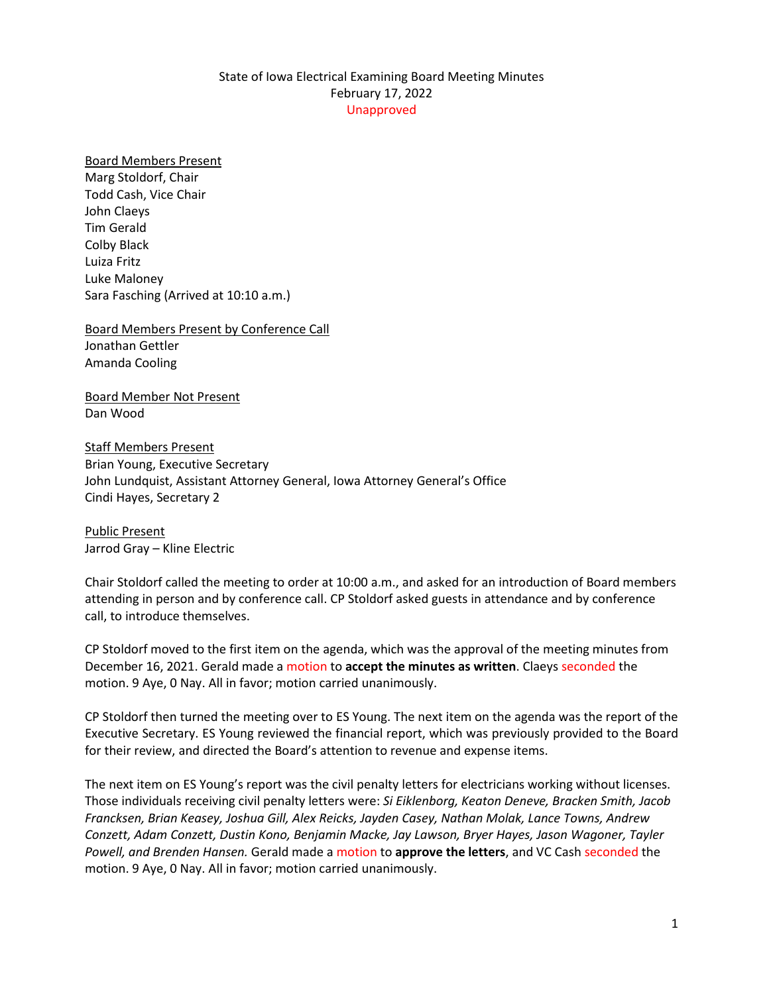## State of Iowa Electrical Examining Board Meeting Minutes February 17, 2022 Unapproved

## Board Members Present

Marg Stoldorf, Chair Todd Cash, Vice Chair John Claeys Tim Gerald Colby Black Luiza Fritz Luke Maloney Sara Fasching (Arrived at 10:10 a.m.)

Board Members Present by Conference Call Jonathan Gettler Amanda Cooling

Board Member Not Present Dan Wood

Staff Members Present Brian Young, Executive Secretary John Lundquist, Assistant Attorney General, Iowa Attorney General's Office Cindi Hayes, Secretary 2

Public Present Jarrod Gray – Kline Electric

Chair Stoldorf called the meeting to order at 10:00 a.m., and asked for an introduction of Board members attending in person and by conference call. CP Stoldorf asked guests in attendance and by conference call, to introduce themselves.

CP Stoldorf moved to the first item on the agenda, which was the approval of the meeting minutes from December 16, 2021. Gerald made a motion to **accept the minutes as written**. Claeys seconded the motion. 9 Aye, 0 Nay. All in favor; motion carried unanimously.

CP Stoldorf then turned the meeting over to ES Young. The next item on the agenda was the report of the Executive Secretary. ES Young reviewed the financial report, which was previously provided to the Board for their review, and directed the Board's attention to revenue and expense items.

The next item on ES Young's report was the civil penalty letters for electricians working without licenses. Those individuals receiving civil penalty letters were: *Si Eiklenborg, Keaton Deneve, Bracken Smith, Jacob Francksen, Brian Keasey, Joshua Gill, Alex Reicks, Jayden Casey, Nathan Molak, Lance Towns, Andrew Conzett, Adam Conzett, Dustin Kono, Benjamin Macke, Jay Lawson, Bryer Hayes, Jason Wagoner, Tayler Powell, and Brenden Hansen.* Gerald made a motion to **approve the letters**, and VC Cash seconded the motion. 9 Aye, 0 Nay. All in favor; motion carried unanimously.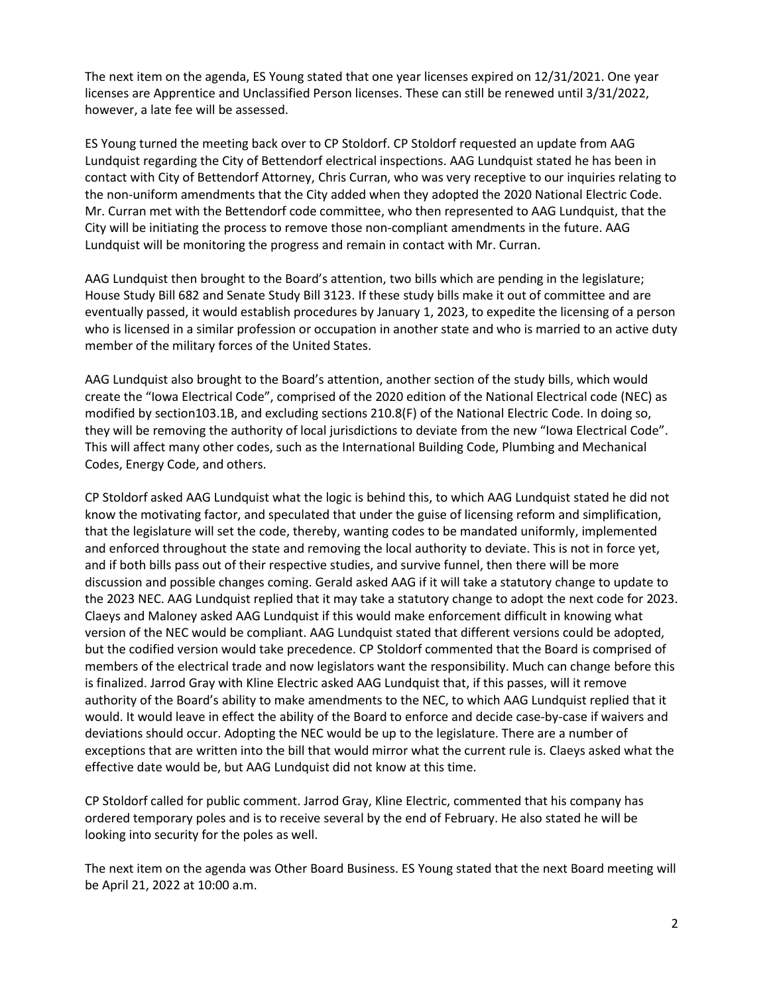The next item on the agenda, ES Young stated that one year licenses expired on 12/31/2021. One year licenses are Apprentice and Unclassified Person licenses. These can still be renewed until 3/31/2022, however, a late fee will be assessed.

ES Young turned the meeting back over to CP Stoldorf. CP Stoldorf requested an update from AAG Lundquist regarding the City of Bettendorf electrical inspections. AAG Lundquist stated he has been in contact with City of Bettendorf Attorney, Chris Curran, who was very receptive to our inquiries relating to the non-uniform amendments that the City added when they adopted the 2020 National Electric Code. Mr. Curran met with the Bettendorf code committee, who then represented to AAG Lundquist, that the City will be initiating the process to remove those non-compliant amendments in the future. AAG Lundquist will be monitoring the progress and remain in contact with Mr. Curran.

AAG Lundquist then brought to the Board's attention, two bills which are pending in the legislature; House Study Bill 682 and Senate Study Bill 3123. If these study bills make it out of committee and are eventually passed, it would establish procedures by January 1, 2023, to expedite the licensing of a person who is licensed in a similar profession or occupation in another state and who is married to an active duty member of the military forces of the United States.

AAG Lundquist also brought to the Board's attention, another section of the study bills, which would create the "Iowa Electrical Code", comprised of the 2020 edition of the National Electrical code (NEC) as modified by section103.1B, and excluding sections 210.8(F) of the National Electric Code. In doing so, they will be removing the authority of local jurisdictions to deviate from the new "Iowa Electrical Code". This will affect many other codes, such as the International Building Code, Plumbing and Mechanical Codes, Energy Code, and others.

CP Stoldorf asked AAG Lundquist what the logic is behind this, to which AAG Lundquist stated he did not know the motivating factor, and speculated that under the guise of licensing reform and simplification, that the legislature will set the code, thereby, wanting codes to be mandated uniformly, implemented and enforced throughout the state and removing the local authority to deviate. This is not in force yet, and if both bills pass out of their respective studies, and survive funnel, then there will be more discussion and possible changes coming. Gerald asked AAG if it will take a statutory change to update to the 2023 NEC. AAG Lundquist replied that it may take a statutory change to adopt the next code for 2023. Claeys and Maloney asked AAG Lundquist if this would make enforcement difficult in knowing what version of the NEC would be compliant. AAG Lundquist stated that different versions could be adopted, but the codified version would take precedence. CP Stoldorf commented that the Board is comprised of members of the electrical trade and now legislators want the responsibility. Much can change before this is finalized. Jarrod Gray with Kline Electric asked AAG Lundquist that, if this passes, will it remove authority of the Board's ability to make amendments to the NEC, to which AAG Lundquist replied that it would. It would leave in effect the ability of the Board to enforce and decide case-by-case if waivers and deviations should occur. Adopting the NEC would be up to the legislature. There are a number of exceptions that are written into the bill that would mirror what the current rule is. Claeys asked what the effective date would be, but AAG Lundquist did not know at this time.

CP Stoldorf called for public comment. Jarrod Gray, Kline Electric, commented that his company has ordered temporary poles and is to receive several by the end of February. He also stated he will be looking into security for the poles as well.

The next item on the agenda was Other Board Business. ES Young stated that the next Board meeting will be April 21, 2022 at 10:00 a.m.